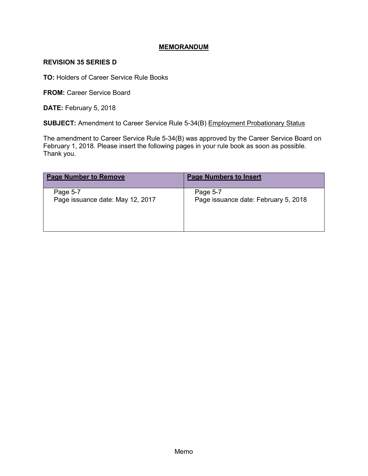## **MEMORANDUM**

## **REVISION 35 SERIES D**

**TO:** Holders of Career Service Rule Books

**FROM: Career Service Board** 

**DATE:** February 5, 2018

**SUBJECT:** Amendment to Career Service Rule 5-34(B) Employment Probationary Status

The amendment to Career Service Rule 5-34(B) was approved by the Career Service Board on February 1, 2018. Please insert the following pages in your rule book as soon as possible. Thank you.

| <b>Page Number to Remove</b>     | <b>Page Numbers to Insert</b>        |
|----------------------------------|--------------------------------------|
| Page 5-7                         | Page 5-7                             |
| Page issuance date: May 12, 2017 | Page issuance date: February 5, 2018 |